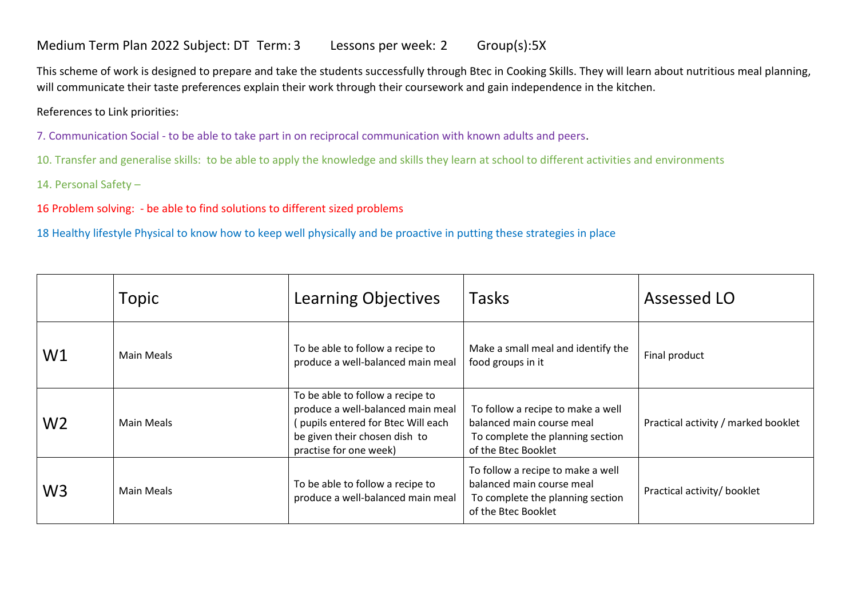## Medium Term Plan 2022 Subject: DT Term: 3 Lessons per week: 2 Group(s):5X

This scheme of work is designed to prepare and take the students successfully through Btec in Cooking Skills. They will learn about nutritious meal planning, will communicate their taste preferences explain their work through their coursework and gain independence in the kitchen.

## References to Link priorities:

7. Communication Social - to be able to take part in on reciprocal communication with known adults and peers.

10. Transfer and generalise skills: to be able to apply the knowledge and skills they learn at school to different activities and environments

14. Personal Safety –

16 Problem solving: - be able to find solutions to different sized problems

18 Healthy lifestyle Physical to know how to keep well physically and be proactive in putting these strategies in place

|                | Topic      | Learning Objectives                                                                                                                                                    | <b>Tasks</b>                                                                                                              | Assessed LO                         |
|----------------|------------|------------------------------------------------------------------------------------------------------------------------------------------------------------------------|---------------------------------------------------------------------------------------------------------------------------|-------------------------------------|
| W1             | Main Meals | To be able to follow a recipe to<br>produce a well-balanced main meal                                                                                                  | Make a small meal and identify the<br>food groups in it                                                                   | Final product                       |
| W <sub>2</sub> | Main Meals | To be able to follow a recipe to<br>produce a well-balanced main meal<br>(pupils entered for Btec Will each<br>be given their chosen dish to<br>practise for one week) | To follow a recipe to make a well<br>balanced main course meal<br>To complete the planning section<br>of the Btec Booklet | Practical activity / marked booklet |
| W <sub>3</sub> | Main Meals | To be able to follow a recipe to<br>produce a well-balanced main meal                                                                                                  | To follow a recipe to make a well<br>balanced main course meal<br>To complete the planning section<br>of the Btec Booklet | Practical activity/ booklet         |